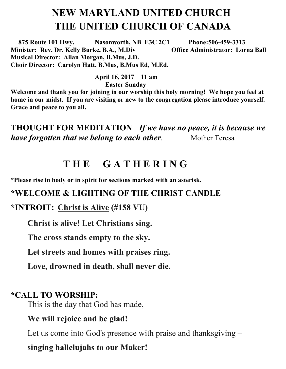# **NEW MARYLAND UNITED CHURCH THE UNITED CHURCH OF CANADA**

 **875 Route 101 Hwy. Nasonworth, NB E3C 2C1 Phone:506-459-3313 Minister: Rev. Dr. Kelly Burke, B.A., M.Div Office Administrator: Lorna Ball Musical Director: Allan Morgan, B.Mus, J.D. Choir Director: Carolyn Hatt, B.Mus, B.Mus Ed, M.Ed.** 

> **April 16, 2017 11 am Easter Sunday**

**Welcome and thank you for joining in our worship this holy morning! We hope you feel at home in our midst. If you are visiting or new to the congregation please introduce yourself. Grace and peace to you all.**

**THOUGHT FOR MEDITATION** *If we have no peace, it is because we have forgotten that we belong to each other*. Mother Teresa

# **T H E G A T H E R I N G**

**\*Please rise in body or in spirit for sections marked with an asterisk.**

#### **\*WELCOME & LIGHTING OF THE CHRIST CANDLE**

#### **\*INTROIT: Christ is Alive (#158 VU)**

**Christ is alive! Let Christians sing.**

**The cross stands empty to the sky.**

**Let streets and homes with praises ring.**

**Love, drowned in death, shall never die.** 

#### **\*CALL TO WORSHIP:**

This is the day that God has made,

#### **We will rejoice and be glad!**

Let us come into God's presence with praise and thanksgiving –

#### **singing hallelujahs to our Maker!**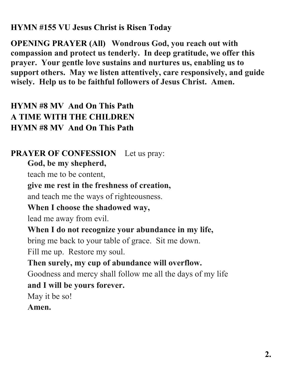### **HYMN #155 VU Jesus Christ is Risen Today**

**OPENING PRAYER (All) Wondrous God, you reach out with compassion and protect us tenderly. In deep gratitude, we offer this prayer. Your gentle love sustains and nurtures us, enabling us to support others. May we listen attentively, care responsively, and guide wisely. Help us to be faithful followers of Jesus Christ. Amen.**

## **HYMN #8 MV And On This Path A TIME WITH THE CHILDREN HYMN #8 MV And On This Path**

# **PRAYER OF CONFESSION** Let us pray:

#### **God, be my shepherd,**

teach me to be content,

#### **give me rest in the freshness of creation,**

and teach me the ways of righteousness.

#### **When I choose the shadowed way,**

lead me away from evil.

#### **When I do not recognize your abundance in my life,**

bring me back to your table of grace. Sit me down.

Fill me up. Restore my soul.

#### **Then surely, my cup of abundance will overflow.**

Goodness and mercy shall follow me all the days of my life **and I will be yours forever.** 

May it be so!

#### **Amen.**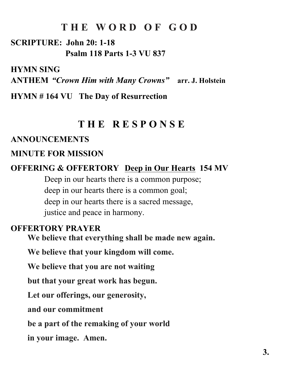## **T H E W O R D O F G O D**

**SCRIPTURE: John 20: 1-18 Psalm 118 Parts 1-3 VU 837** 

**HYMN SING** 

**ANTHEM** *"Crown Him with Many Crowns"* **arr. J. Holstein** 

**HYMN # 164 VU The Day of Resurrection** 

# **T H E R E S P O N S E**

#### **ANNOUNCEMENTS**

#### **MINUTE FOR MISSION**

**OFFERING & OFFERTORY Deep in Our Hearts 154 MV**

Deep in our hearts there is a common purpose; deep in our hearts there is a common goal; deep in our hearts there is a sacred message, justice and peace in harmony.

#### **OFFERTORY PRAYER**

**We believe that everything shall be made new again.**

**We believe that your kingdom will come.**

**We believe that you are not waiting**

**but that your great work has begun.**

**Let our offerings, our generosity,**

**and our commitment**

**be a part of the remaking of your world**

**in your image. Amen.**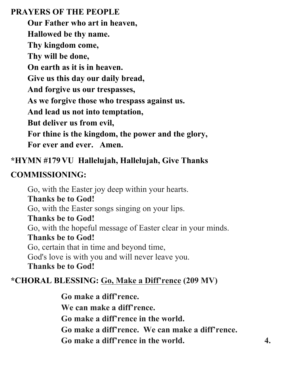# **PRAYERS OF THE PEOPLE Our Father who art in heaven, Hallowed be thy name. Thy kingdom come, Thy will be done, On earth as it is in heaven. Give us this day our daily bread, And forgive us our trespasses, As we forgive those who trespass against us. And lead us not into temptation, But deliver us from evil, For thine is the kingdom, the power and the glory, For ever and ever. Amen.**

#### **\*HYMN #179 VU Hallelujah, Hallelujah, Give Thanks**

#### **COMMISSIONING:**

Go, with the Easter joy deep within your hearts. **Thanks be to God!** Go, with the Easter songs singing on your lips. **Thanks be to God!** Go, with the hopeful message of Easter clear in your minds. **Thanks be to God!** Go, certain that in time and beyond time, God's love is with you and will never leave you. **Thanks be to God!**

#### **\*CHORAL BLESSING: Go, Make a Diff'rence (209 MV)**

**Go make a diff'rence. We can make a diff'rence. Go make a diff'rence in the world. Go make a diff'rence. We can make a diff'rence. Go make a diff'rence in the world. 4.**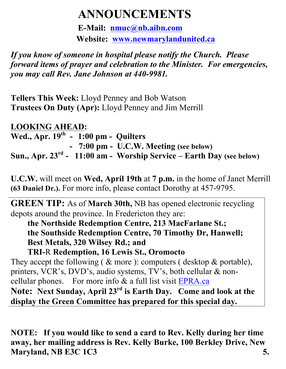# **ANNOUNCEMENTS**

**E-Mail: nmuc@nb.aibn.com Website: www.newmarylandunited.ca**

*If you know of someone in hospital please notify the Church. Please forward items of prayer and celebration to the Minister. For emergencies, you may call Rev. Jane Johnson at 440-9981.*

**Tellers This Week:** Lloyd Penney and Bob Watson **Trustees On Duty (Apr):** Lloyd Penney and Jim Merrill

**LOOKING AHEAD: Wed., Apr. 19th - 1:00 pm - Quilters - 7:00 pm - U.C.W. Meeting (see below) Sun., Apr. 23rd - 11:00 am - Worship Service – Earth Day (see below)**

**U.C.W.** will meet on **Wed, April 19th** at **7 p.m.** in the home of Janet Merrill **(63 Daniel Dr.).** For more info, please contact Dorothy at 457-9795.

**GREEN TIP:** As of **March 30th,** NB has opened electronic recycling depots around the province. In Fredericton they are:

**the Northside Redemption Centre, 213 MacFarlane St.; the Southside Redemption Centre, 70 Timothy Dr, Hanwell; Best Metals, 320 Wilsey Rd.; and TRI-**R **Redemption, 16 Lewis St., Oromocto** 

They accept the following ( $\&$  more ): computers (desktop  $\&$  portable), printers, VCR's, DVD's, audio systems, TV's, both cellular & noncellular phones. For more info & a full list visit EPRA.ca **Note: Next Sunday, April 23rd is Earth Day. Come and look at the display the Green Committee has prepared for this special day.**

**NOTE: If you would like to send a card to Rev. Kelly during her time away, her mailing address is Rev. Kelly Burke, 100 Berkley Drive, New Maryland, NB E3C 1C3 5.**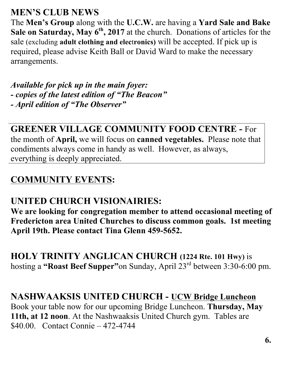# **MEN'S CLUB NEWS**

The **Men's Group** along with the **U.C.W.** are having a **Yard Sale and Bake**  Sale on Saturday, May 6<sup>th</sup>, 2017 at the church. Donations of articles for the sale (excluding **adult clothing and elec**t**ronics)** will be accepted. If pick up is required, please advise Keith Ball or David Ward to make the necessary arrangements.

*Available for pick up in the main foyer: - copies of the latest edition of "The Beacon" - April edition of "The Observer"*

**GREENER VILLAGE COMMUNITY FOOD CENTRE -** For the month of **April,** we will focus on **canned vegetables.** Please note that condiments always come in handy as well. However, as always, everything is deeply appreciated.

# **COMMUNITY EVENTS:**

## **UNITED CHURCH VISIONAIRIES:**

**We are looking for congregation member to attend occasional meeting of Fredericton area United Churches to discuss common goals. 1st meeting April 19th. Please contact Tina Glenn 459-5652.** 

**HOLY TRINITY ANGLICAN CHURCH (1224 Rte. 101 Hwy)** is hosting a **"Roast Beef Supper"**on Sunday, April 23rd between 3:30-6:00 pm.

# **NASHWAAKSIS UNITED CHURCH - UCW Bridge Luncheon**

Book your table now for our upcoming Bridge Luncheon. **Thursday, May 11th, at 12 noon**. At the Nashwaaksis United Church gym. Tables are \$40.00. Contact Connie – 472-4744